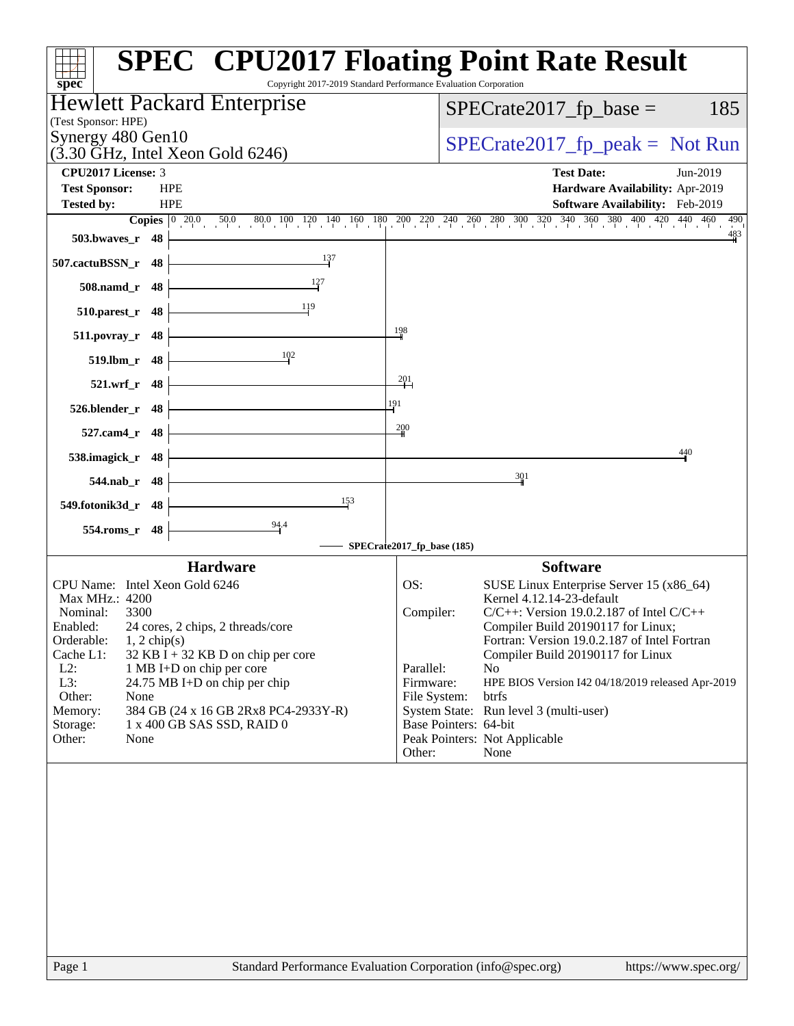| $spec^*$                                                              | <b>SPEC<sup>®</sup> CPU2017 Floating Point Rate Result</b><br>Copyright 2017-2019 Standard Performance Evaluation Corporation |
|-----------------------------------------------------------------------|-------------------------------------------------------------------------------------------------------------------------------|
| Hewlett Packard Enterprise                                            | $SPECrate2017_fp\_base =$<br>185                                                                                              |
| (Test Sponsor: HPE)<br>Synergy 480 Gen10                              |                                                                                                                               |
| $(3.30 \text{ GHz}, \text{Intel Xeon Gold } 6246)$                    | $SPECTate2017_fp\_peak = Not Run$                                                                                             |
| <b>CPU2017 License: 3</b>                                             | <b>Test Date:</b><br>Jun-2019                                                                                                 |
| <b>Test Sponsor:</b><br><b>HPE</b><br><b>HPE</b><br><b>Tested by:</b> | Hardware Availability: Apr-2019<br>Software Availability: Feb-2019                                                            |
|                                                                       | 490                                                                                                                           |
| 503.bwaves_r 48                                                       | $\frac{483}{4}$                                                                                                               |
| 137<br>507.cactuBSSN_r 48                                             |                                                                                                                               |
| 508.namd_r 48                                                         |                                                                                                                               |
| $\frac{11}{9}$<br>$510.parest_r$ 48                                   |                                                                                                                               |
| $511.povray_r$ 48                                                     | $\frac{198}{4}$                                                                                                               |
| 102<br>$519.1 \text{bm}_r$ 48                                         |                                                                                                                               |
| $521.wrf_r 48$                                                        | $\frac{201}{2}$                                                                                                               |
| $526.$ blender_r 48 $\vdash$                                          | 191                                                                                                                           |
| 527.cam4_r 48                                                         | 200                                                                                                                           |
| 538.imagick_r $48$                                                    | 440                                                                                                                           |
| <u> 1980 - Johann Barbara, martxa a</u><br>544.nab_r 48               | 301                                                                                                                           |
| $\frac{153}{2}$<br>549.fotonik3d_r 48                                 |                                                                                                                               |
| 94.4<br>554.roms_r 48                                                 |                                                                                                                               |
|                                                                       | SPECrate2017_fp_base (185)<br><b>Software</b>                                                                                 |
| <b>Hardware</b><br>CPU Name: Intel Xeon Gold 6246                     | OS:<br>SUSE Linux Enterprise Server 15 (x86_64)                                                                               |
| Max MHz.: 4200                                                        | Kernel 4.12.14-23-default                                                                                                     |
| Nominal:<br>3300<br>Enabled:<br>24 cores, 2 chips, 2 threads/core     | Compiler:<br>$C/C++$ : Version 19.0.2.187 of Intel $C/C++$<br>Compiler Build 20190117 for Linux;                              |
| $1, 2$ chip(s)<br>Orderable:                                          | Fortran: Version 19.0.2.187 of Intel Fortran                                                                                  |
| Cache L1:<br>$32$ KB I + 32 KB D on chip per core<br>$L2$ :           | Compiler Build 20190117 for Linux<br>Parallel:<br>No                                                                          |
| 1 MB I+D on chip per core<br>L3:<br>24.75 MB I+D on chip per chip     | Firmware:<br>HPE BIOS Version I42 04/18/2019 released Apr-2019                                                                |
| Other:<br>None                                                        | btrfs<br>File System:                                                                                                         |
| 384 GB (24 x 16 GB 2Rx8 PC4-2933Y-R)<br>Memory:                       | System State: Run level 3 (multi-user)                                                                                        |
| 1 x 400 GB SAS SSD, RAID 0<br>Storage:<br>Other:<br>None              | Base Pointers: 64-bit<br>Peak Pointers: Not Applicable                                                                        |
|                                                                       | Other:<br>None                                                                                                                |
|                                                                       |                                                                                                                               |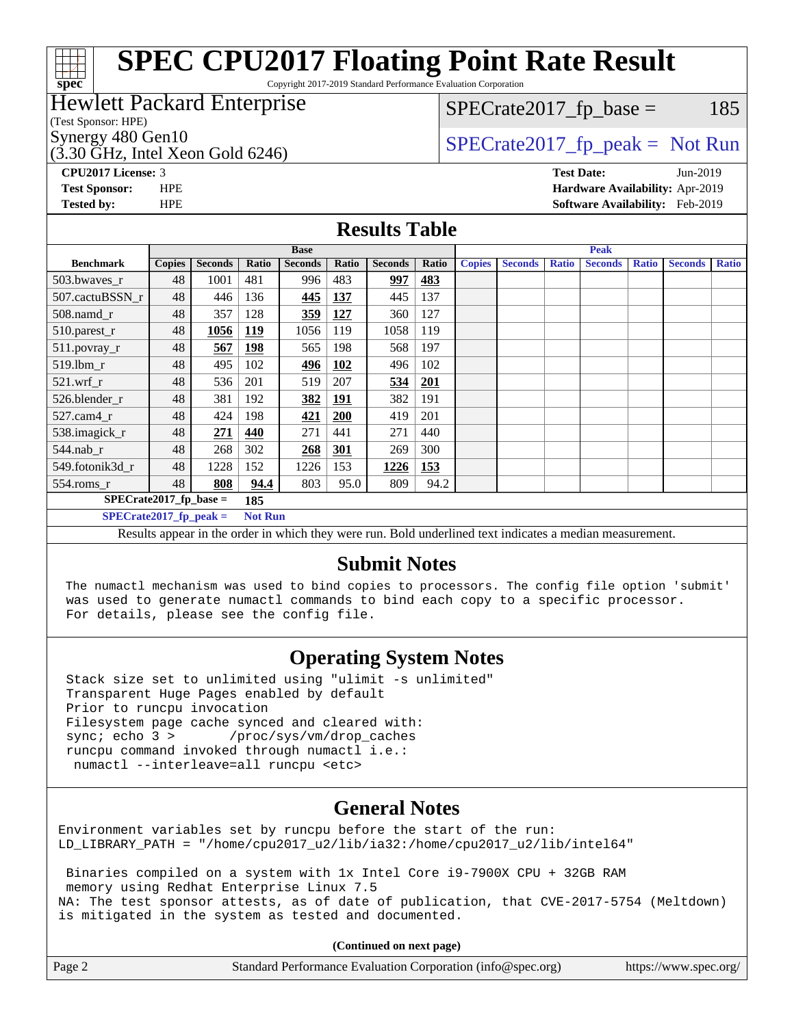# **[spec](http://www.spec.org/)**

# **[SPEC CPU2017 Floating Point Rate Result](http://www.spec.org/auto/cpu2017/Docs/result-fields.html#SPECCPU2017FloatingPointRateResult)**

Copyright 2017-2019 Standard Performance Evaluation Corporation

### Hewlett Packard Enterprise

(Test Sponsor: HPE)

 $(3.30 \text{ GHz}, \text{Intel Xeon}$  Gold 6246)

 $SPECTate2017<sub>fr</sub> base = 185$ 

## Synergy 480 Gen10  $SPECrate2017$  fp\_peak = Not Run

**[CPU2017 License:](http://www.spec.org/auto/cpu2017/Docs/result-fields.html#CPU2017License)** 3 **[Test Date:](http://www.spec.org/auto/cpu2017/Docs/result-fields.html#TestDate)** Jun-2019 **[Test Sponsor:](http://www.spec.org/auto/cpu2017/Docs/result-fields.html#TestSponsor)** HPE **[Hardware Availability:](http://www.spec.org/auto/cpu2017/Docs/result-fields.html#HardwareAvailability)** Apr-2019 **[Tested by:](http://www.spec.org/auto/cpu2017/Docs/result-fields.html#Testedby)** HPE **[Software Availability:](http://www.spec.org/auto/cpu2017/Docs/result-fields.html#SoftwareAvailability)** Feb-2019

#### **[Results Table](http://www.spec.org/auto/cpu2017/Docs/result-fields.html#ResultsTable)**

|                                            | <b>Base</b>   |                |            |                | <b>Peak</b> |                |       |               |                |              |                |              |                |              |
|--------------------------------------------|---------------|----------------|------------|----------------|-------------|----------------|-------|---------------|----------------|--------------|----------------|--------------|----------------|--------------|
| <b>Benchmark</b>                           | <b>Copies</b> | <b>Seconds</b> | Ratio      | <b>Seconds</b> | Ratio       | <b>Seconds</b> | Ratio | <b>Copies</b> | <b>Seconds</b> | <b>Ratio</b> | <b>Seconds</b> | <b>Ratio</b> | <b>Seconds</b> | <b>Ratio</b> |
| 503.bwayes_r                               | 48            | 1001           | 481        | 996            | 483         | 997            | 483   |               |                |              |                |              |                |              |
| 507.cactuBSSN r                            | 48            | 446            | 136        | 445            | 137         | 445            | 137   |               |                |              |                |              |                |              |
| $508$ .namd $r$                            | 48            | 357            | 128        | 359            | 127         | 360            | 127   |               |                |              |                |              |                |              |
| 510.parest_r                               | 48            | 1056           | <u>119</u> | 1056           | 119         | 1058           | 119   |               |                |              |                |              |                |              |
| 511.povray_r                               | 48            | 567            | 198        | 565            | 198         | 568            | 197   |               |                |              |                |              |                |              |
| $519$ .lbm $r$                             | 48            | 495            | 102        | 496            | <b>102</b>  | 496            | 102   |               |                |              |                |              |                |              |
| $521$ .wrf r                               | 48            | 536            | 201        | 519            | 207         | 534            | 201   |               |                |              |                |              |                |              |
| 526.blender r                              | 48            | 381            | 192        | 382            | <u> 191</u> | 382            | 191   |               |                |              |                |              |                |              |
| $527$ .cam $4r$                            | 48            | 424            | 198        | 421            | 200         | 419            | 201   |               |                |              |                |              |                |              |
| 538.imagick_r                              | 48            | 271            | 440        | 271            | 441         | 271            | 440   |               |                |              |                |              |                |              |
| $544$ .nab r                               | 48            | 268            | 302        | 268            | <u>301</u>  | 269            | 300   |               |                |              |                |              |                |              |
| 549.fotonik3d r                            | 48            | 1228           | 152        | 1226           | 153         | 1226           | 153   |               |                |              |                |              |                |              |
| $554$ .roms_r                              | 48            | 808            | 94.4       | 803            | 95.0        | 809            | 94.2  |               |                |              |                |              |                |              |
| $SPECrate2017$ fp base =<br>185            |               |                |            |                |             |                |       |               |                |              |                |              |                |              |
| $SPECrate2017_fp_peak =$<br><b>Not Run</b> |               |                |            |                |             |                |       |               |                |              |                |              |                |              |
|                                            |               |                |            |                |             | - - -          | .     |               | $\sim$ $\sim$  |              | $\sim$ $\sim$  |              |                |              |

Results appear in the [order in which they were run.](http://www.spec.org/auto/cpu2017/Docs/result-fields.html#RunOrder) Bold underlined text [indicates a median measurement.](http://www.spec.org/auto/cpu2017/Docs/result-fields.html#Median)

#### **[Submit Notes](http://www.spec.org/auto/cpu2017/Docs/result-fields.html#SubmitNotes)**

 The numactl mechanism was used to bind copies to processors. The config file option 'submit' was used to generate numactl commands to bind each copy to a specific processor. For details, please see the config file.

### **[Operating System Notes](http://www.spec.org/auto/cpu2017/Docs/result-fields.html#OperatingSystemNotes)**

 Stack size set to unlimited using "ulimit -s unlimited" Transparent Huge Pages enabled by default Prior to runcpu invocation Filesystem page cache synced and cleared with: sync; echo 3 > /proc/sys/vm/drop\_caches runcpu command invoked through numactl i.e.: numactl --interleave=all runcpu <etc>

### **[General Notes](http://www.spec.org/auto/cpu2017/Docs/result-fields.html#GeneralNotes)**

Environment variables set by runcpu before the start of the run: LD\_LIBRARY\_PATH = "/home/cpu2017\_u2/lib/ia32:/home/cpu2017\_u2/lib/intel64"

 Binaries compiled on a system with 1x Intel Core i9-7900X CPU + 32GB RAM memory using Redhat Enterprise Linux 7.5 NA: The test sponsor attests, as of date of publication, that CVE-2017-5754 (Meltdown) is mitigated in the system as tested and documented.

**(Continued on next page)**

| Page 2 | Standard Performance Evaluation Corporation (info@spec.org) | https://www.spec.org/ |
|--------|-------------------------------------------------------------|-----------------------|
|--------|-------------------------------------------------------------|-----------------------|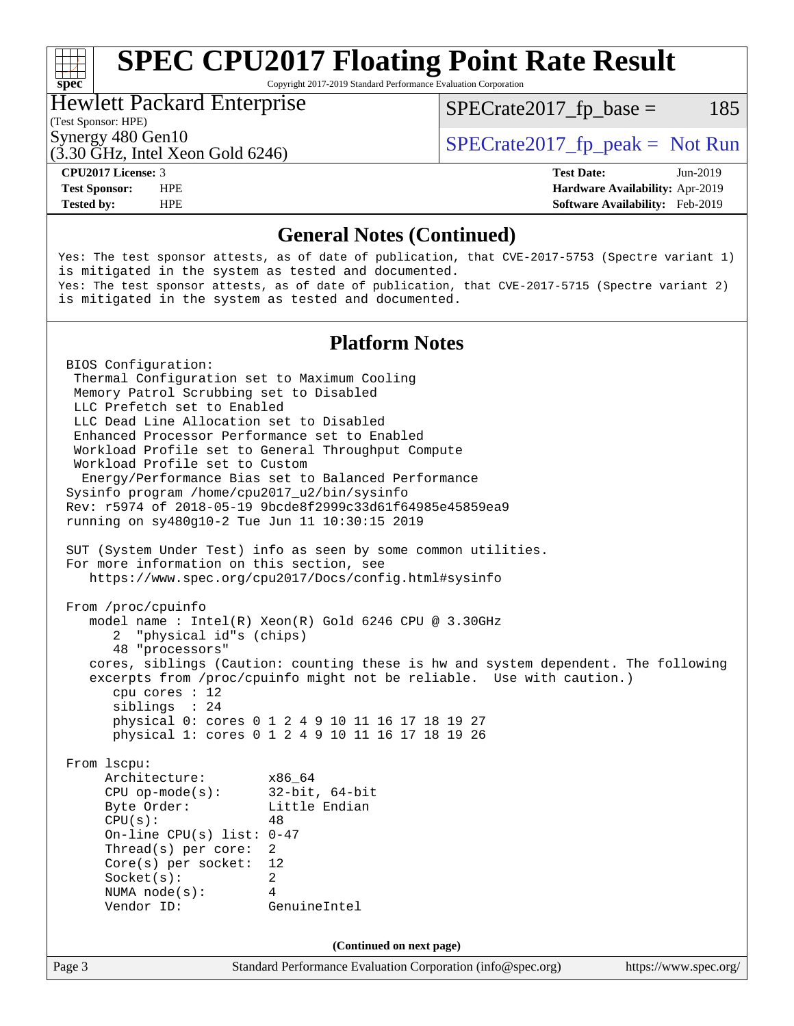# **[SPEC CPU2017 Floating Point Rate Result](http://www.spec.org/auto/cpu2017/Docs/result-fields.html#SPECCPU2017FloatingPointRateResult)**

Copyright 2017-2019 Standard Performance Evaluation Corporation

### Hewlett Packard Enterprise

 $SPECTate2017<sub>fr</sub> base = 185$ 

#### (Test Sponsor: HPE)

(3.30 GHz, Intel Xeon Gold 6246)

Synergy 480 Gen10  $SPECrate2017$  fp\_peak = Not Run

**[spec](http://www.spec.org/)**<sup>®</sup>

**[Tested by:](http://www.spec.org/auto/cpu2017/Docs/result-fields.html#Testedby)** HPE **[Software Availability:](http://www.spec.org/auto/cpu2017/Docs/result-fields.html#SoftwareAvailability)** Feb-2019

**[CPU2017 License:](http://www.spec.org/auto/cpu2017/Docs/result-fields.html#CPU2017License)** 3 **[Test Date:](http://www.spec.org/auto/cpu2017/Docs/result-fields.html#TestDate)** Jun-2019 **[Test Sponsor:](http://www.spec.org/auto/cpu2017/Docs/result-fields.html#TestSponsor)** HPE **[Hardware Availability:](http://www.spec.org/auto/cpu2017/Docs/result-fields.html#HardwareAvailability)** Apr-2019

#### **[General Notes \(Continued\)](http://www.spec.org/auto/cpu2017/Docs/result-fields.html#GeneralNotes)**

Yes: The test sponsor attests, as of date of publication, that CVE-2017-5753 (Spectre variant 1) is mitigated in the system as tested and documented. Yes: The test sponsor attests, as of date of publication, that CVE-2017-5715 (Spectre variant 2) is mitigated in the system as tested and documented.

#### **[Platform Notes](http://www.spec.org/auto/cpu2017/Docs/result-fields.html#PlatformNotes)**

Page 3 Standard Performance Evaluation Corporation [\(info@spec.org\)](mailto:info@spec.org) <https://www.spec.org/> BIOS Configuration: Thermal Configuration set to Maximum Cooling Memory Patrol Scrubbing set to Disabled LLC Prefetch set to Enabled LLC Dead Line Allocation set to Disabled Enhanced Processor Performance set to Enabled Workload Profile set to General Throughput Compute Workload Profile set to Custom Energy/Performance Bias set to Balanced Performance Sysinfo program /home/cpu2017\_u2/bin/sysinfo Rev: r5974 of 2018-05-19 9bcde8f2999c33d61f64985e45859ea9 running on sy480g10-2 Tue Jun 11 10:30:15 2019 SUT (System Under Test) info as seen by some common utilities. For more information on this section, see <https://www.spec.org/cpu2017/Docs/config.html#sysinfo> From /proc/cpuinfo model name : Intel(R) Xeon(R) Gold 6246 CPU @ 3.30GHz 2 "physical id"s (chips) 48 "processors" cores, siblings (Caution: counting these is hw and system dependent. The following excerpts from /proc/cpuinfo might not be reliable. Use with caution.) cpu cores : 12 siblings : 24 physical 0: cores 0 1 2 4 9 10 11 16 17 18 19 27 physical 1: cores 0 1 2 4 9 10 11 16 17 18 19 26 From lscpu: Architecture: x86\_64 CPU op-mode(s): 32-bit, 64-bit Byte Order: Little Endian  $CPU(s):$  48 On-line CPU(s) list: 0-47 Thread(s) per core: 2 Core(s) per socket: 12 Socket(s): 2 NUMA node(s): 4 Vendor ID: GenuineIntel **(Continued on next page)**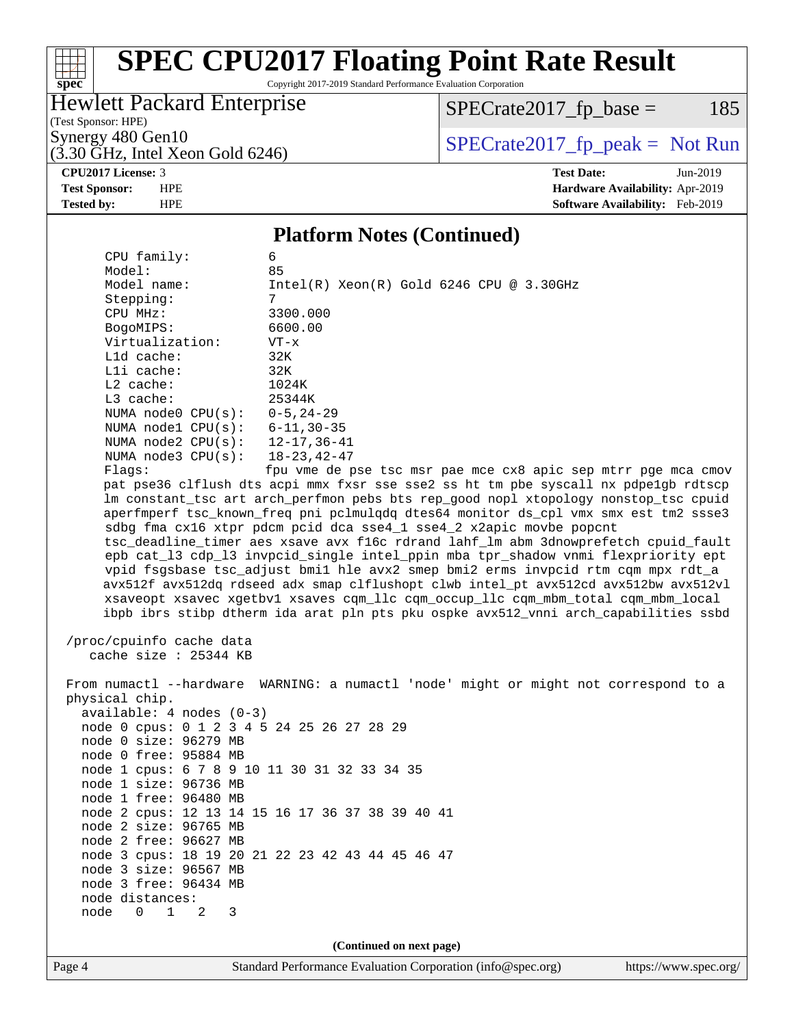#### $\begin{matrix} & \ + \ + \end{matrix}$ **[spec](http://www.spec.org/)**

# **[SPEC CPU2017 Floating Point Rate Result](http://www.spec.org/auto/cpu2017/Docs/result-fields.html#SPECCPU2017FloatingPointRateResult)**

Copyright 2017-2019 Standard Performance Evaluation Corporation

### Hewlett Packard Enterprise

 $SPECrate2017_fp\_base = 185$ 

(Test Sponsor: HPE)

 $(3.30 \text{ GHz}, \text{Intel Xeon Gold } 6246)$ 

Synergy 480 Gen10<br>  $\begin{array}{r} \text{SPECTate2017\_fp\_peak = Not Run} \\ \text{SPECTate2017\_fp\_peak = Not Run} \end{array}$ 

**[CPU2017 License:](http://www.spec.org/auto/cpu2017/Docs/result-fields.html#CPU2017License)** 3 **[Test Date:](http://www.spec.org/auto/cpu2017/Docs/result-fields.html#TestDate)** Jun-2019 **[Test Sponsor:](http://www.spec.org/auto/cpu2017/Docs/result-fields.html#TestSponsor)** HPE **[Hardware Availability:](http://www.spec.org/auto/cpu2017/Docs/result-fields.html#HardwareAvailability)** Apr-2019 **[Tested by:](http://www.spec.org/auto/cpu2017/Docs/result-fields.html#Testedby)** HPE **[Software Availability:](http://www.spec.org/auto/cpu2017/Docs/result-fields.html#SoftwareAvailability)** Feb-2019

#### **[Platform Notes \(Continued\)](http://www.spec.org/auto/cpu2017/Docs/result-fields.html#PlatformNotes)**

| CPU family:                                  | 6                                                                                    |  |  |  |  |  |
|----------------------------------------------|--------------------------------------------------------------------------------------|--|--|--|--|--|
| Model:                                       | 85                                                                                   |  |  |  |  |  |
| Model name:                                  | $Intel(R)$ Xeon $(R)$ Gold 6246 CPU @ 3.30GHz                                        |  |  |  |  |  |
| Stepping:                                    | 7                                                                                    |  |  |  |  |  |
| CPU MHz:                                     | 3300.000                                                                             |  |  |  |  |  |
| BogoMIPS:                                    | 6600.00                                                                              |  |  |  |  |  |
| Virtualization:                              | $VT - x$                                                                             |  |  |  |  |  |
| L1d cache:                                   | 32K                                                                                  |  |  |  |  |  |
| Lli cache:                                   | 32K                                                                                  |  |  |  |  |  |
| L2 cache:                                    | 1024K                                                                                |  |  |  |  |  |
| L3 cache:                                    | 25344K                                                                               |  |  |  |  |  |
| NUMA node0 $CPU(s): 0-5, 24-29$              |                                                                                      |  |  |  |  |  |
| NUMA node1 CPU(s): 6-11,30-35                |                                                                                      |  |  |  |  |  |
| NUMA node2 CPU(s): 12-17,36-41               |                                                                                      |  |  |  |  |  |
| NUMA $node3$ $CPU(s):$                       | 18-23,42-47                                                                          |  |  |  |  |  |
| Flagg:                                       | fpu vme de pse tsc msr pae mce cx8 apic sep mtrr pge mca cmov                        |  |  |  |  |  |
|                                              | pat pse36 clflush dts acpi mmx fxsr sse sse2 ss ht tm pbe syscall nx pdpe1gb rdtscp  |  |  |  |  |  |
|                                              | lm constant_tsc art arch_perfmon pebs bts rep_good nopl xtopology nonstop_tsc cpuid  |  |  |  |  |  |
|                                              | aperfmperf tsc_known_freq pni pclmulqdq dtes64 monitor ds_cpl vmx smx est tm2 ssse3  |  |  |  |  |  |
|                                              | sdbg fma cx16 xtpr pdcm pcid dca sse4_1 sse4_2 x2apic movbe popcnt                   |  |  |  |  |  |
|                                              | tsc_deadline_timer aes xsave avx f16c rdrand lahf_lm abm 3dnowprefetch cpuid_fault   |  |  |  |  |  |
|                                              | epb cat_13 cdp_13 invpcid_single intel_ppin mba tpr_shadow vnmi flexpriority ept     |  |  |  |  |  |
|                                              | vpid fsgsbase tsc_adjust bmil hle avx2 smep bmi2 erms invpcid rtm cqm mpx rdt_a      |  |  |  |  |  |
|                                              | avx512f avx512dq rdseed adx smap clflushopt clwb intel_pt avx512cd avx512bw avx512vl |  |  |  |  |  |
|                                              | xsaveopt xsavec xgetbvl xsaves cqm_llc cqm_occup_llc cqm_mbm_total cqm_mbm_local     |  |  |  |  |  |
|                                              | ibpb ibrs stibp dtherm ida arat pln pts pku ospke avx512_vnni arch_capabilities ssbd |  |  |  |  |  |
|                                              |                                                                                      |  |  |  |  |  |
| /proc/cpuinfo cache data                     |                                                                                      |  |  |  |  |  |
| cache size : 25344 KB                        |                                                                                      |  |  |  |  |  |
|                                              | From numactl --hardware WARNING: a numactl 'node' might or might not correspond to a |  |  |  |  |  |
| physical chip.                               |                                                                                      |  |  |  |  |  |
| $available: 4 nodes (0-3)$                   |                                                                                      |  |  |  |  |  |
| node 0 cpus: 0 1 2 3 4 5 24 25 26 27 28 29   |                                                                                      |  |  |  |  |  |
| node 0 size: 96279 MB                        |                                                                                      |  |  |  |  |  |
| node 0 free: 95884 MB                        |                                                                                      |  |  |  |  |  |
| node 1 cpus: 6 7 8 9 10 11 30 31 32 33 34 35 |                                                                                      |  |  |  |  |  |
| node 1 size: 96736 MB                        |                                                                                      |  |  |  |  |  |
| node 1 free: 96480 MB                        |                                                                                      |  |  |  |  |  |
|                                              | node 2 cpus: 12 13 14 15 16 17 36 37 38 39 40 41                                     |  |  |  |  |  |
| node 2 size: 96765 MB                        |                                                                                      |  |  |  |  |  |
| node 2 free: 96627 MB                        |                                                                                      |  |  |  |  |  |
|                                              | node 3 cpus: 18 19 20 21 22 23 42 43 44 45 46 47                                     |  |  |  |  |  |
| node 3 size: 96567 MB                        |                                                                                      |  |  |  |  |  |
| node 3 free: 96434 MB                        |                                                                                      |  |  |  |  |  |
| node distances:                              |                                                                                      |  |  |  |  |  |
| $0 \quad 1$<br>node<br>2<br>3                |                                                                                      |  |  |  |  |  |
|                                              |                                                                                      |  |  |  |  |  |
| (Continued on next page)                     |                                                                                      |  |  |  |  |  |
|                                              |                                                                                      |  |  |  |  |  |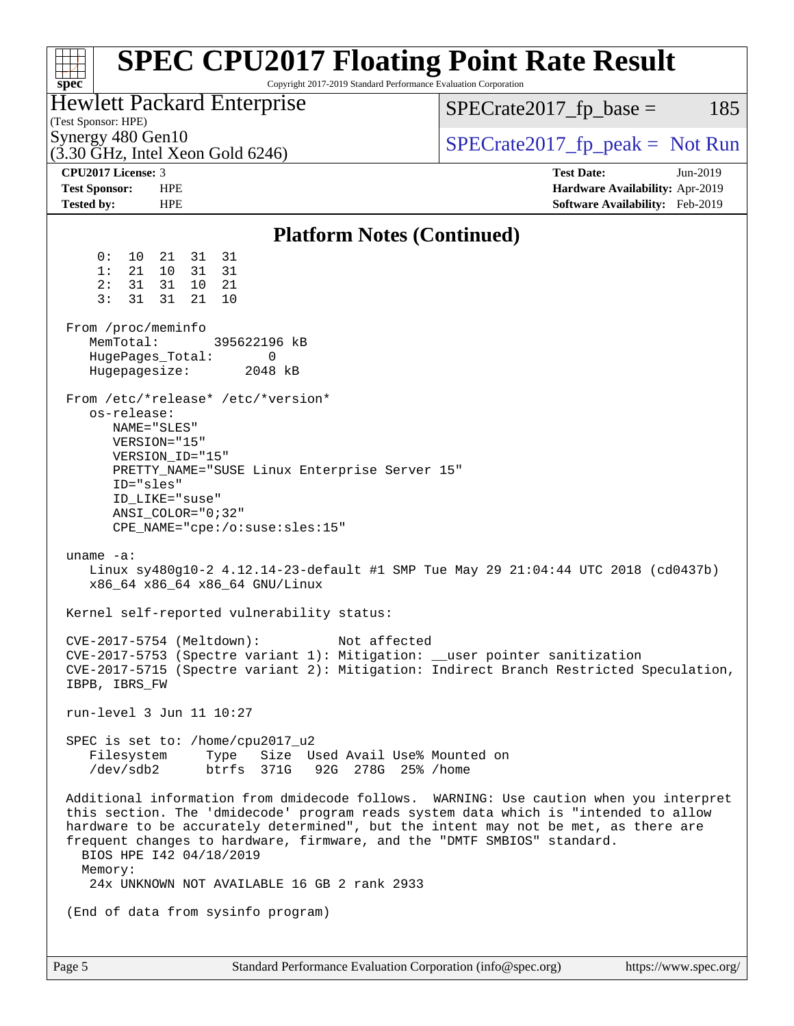| <b>SPEC CPU2017 Floating Point Rate Result</b><br>Copyright 2017-2019 Standard Performance Evaluation Corporation<br>spec <sup>®</sup>                                                                                                                                                                                                                                                                                              |                                                                                                     |  |  |  |  |  |
|-------------------------------------------------------------------------------------------------------------------------------------------------------------------------------------------------------------------------------------------------------------------------------------------------------------------------------------------------------------------------------------------------------------------------------------|-----------------------------------------------------------------------------------------------------|--|--|--|--|--|
| Hewlett Packard Enterprise<br>(Test Sponsor: HPE)                                                                                                                                                                                                                                                                                                                                                                                   | $SPECrate2017_fp\_base =$<br>185                                                                    |  |  |  |  |  |
| Synergy 480 Gen10<br>$(3.30 \text{ GHz}, \text{Intel Xeon Gold } 6246)$                                                                                                                                                                                                                                                                                                                                                             | $SPECTate2017$ _fp_peak = Not Run                                                                   |  |  |  |  |  |
| CPU <sub>2017</sub> License: 3<br><b>Test Sponsor:</b><br><b>HPE</b><br><b>Tested by:</b><br><b>HPE</b>                                                                                                                                                                                                                                                                                                                             | <b>Test Date:</b><br>Jun-2019<br>Hardware Availability: Apr-2019<br>Software Availability: Feb-2019 |  |  |  |  |  |
| <b>Platform Notes (Continued)</b>                                                                                                                                                                                                                                                                                                                                                                                                   |                                                                                                     |  |  |  |  |  |
| 0:<br>31 31<br>10<br>21<br>10 <sup>1</sup><br>31 31<br>1:<br>21<br>31<br>31<br>10 21<br>2:<br>3:<br>31<br>21<br>31<br>10<br>From /proc/meminfo<br>MemTotal:<br>395622196 kB                                                                                                                                                                                                                                                         |                                                                                                     |  |  |  |  |  |
| HugePages_Total:<br>0<br>Hugepagesize:<br>2048 kB                                                                                                                                                                                                                                                                                                                                                                                   |                                                                                                     |  |  |  |  |  |
| From /etc/*release* /etc/*version*<br>os-release:<br>NAME="SLES"<br>VERSION="15"<br>VERSION_ID="15"<br>PRETTY_NAME="SUSE Linux Enterprise Server 15"<br>ID="sles"<br>ID LIKE="suse"<br>$ANSI$ _COLOR=" $0:32$ "<br>$CPE\_NAME='cpe://o:suse: sles:15"$                                                                                                                                                                              |                                                                                                     |  |  |  |  |  |
| uname $-a$ :<br>Linux sy480g10-2 4.12.14-23-default #1 SMP Tue May 29 21:04:44 UTC 2018 (cd0437b)<br>x86_64 x86_64 x86_64 GNU/Linux                                                                                                                                                                                                                                                                                                 |                                                                                                     |  |  |  |  |  |
| Kernel self-reported vulnerability status:                                                                                                                                                                                                                                                                                                                                                                                          |                                                                                                     |  |  |  |  |  |
| CVE-2017-5754 (Meltdown):<br>Not affected<br>CVE-2017-5753 (Spectre variant 1): Mitigation: __user pointer sanitization<br>CVE-2017-5715 (Spectre variant 2): Mitigation: Indirect Branch Restricted Speculation,<br>IBPB, IBRS FW                                                                                                                                                                                                  |                                                                                                     |  |  |  |  |  |
| run-level 3 Jun 11 10:27                                                                                                                                                                                                                                                                                                                                                                                                            |                                                                                                     |  |  |  |  |  |
| SPEC is set to: /home/cpu2017_u2<br>Filesystem Type Size Used Avail Use% Mounted on<br>/dev/sdb2 btrfs 371G 92G 278G 25% /home                                                                                                                                                                                                                                                                                                      |                                                                                                     |  |  |  |  |  |
| Additional information from dmidecode follows. WARNING: Use caution when you interpret<br>this section. The 'dmidecode' program reads system data which is "intended to allow<br>hardware to be accurately determined", but the intent may not be met, as there are<br>frequent changes to hardware, firmware, and the "DMTF SMBIOS" standard.<br>BIOS HPE 142 04/18/2019<br>Memory:<br>24x UNKNOWN NOT AVAILABLE 16 GB 2 rank 2933 |                                                                                                     |  |  |  |  |  |
| (End of data from sysinfo program)                                                                                                                                                                                                                                                                                                                                                                                                  |                                                                                                     |  |  |  |  |  |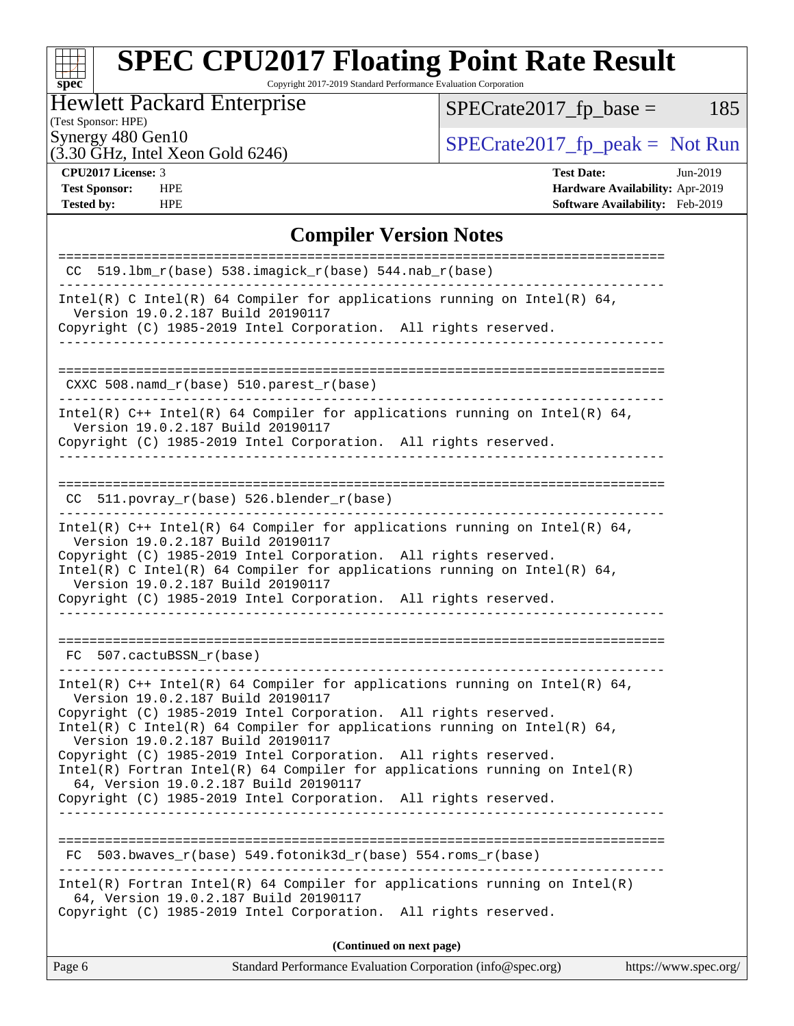#### $\pm$ **[spec](http://www.spec.org/)**

# **[SPEC CPU2017 Floating Point Rate Result](http://www.spec.org/auto/cpu2017/Docs/result-fields.html#SPECCPU2017FloatingPointRateResult)**

Copyright 2017-2019 Standard Performance Evaluation Corporation

### Hewlett Packard Enterprise

 $SPECrate2017_fp\_base = 185$ 

## (Test Sponsor: HPE)

 $(3.30 \text{ GHz}, \text{Intel Xeon Gold } 6246)$ 

Synergy 480 Gen10<br>  $\begin{array}{r} \text{SPECTate2017\_fp\_peak = Not Run} \\ \text{SPECTate2017\_fp\_peak = Not Run} \end{array}$ 

**[Tested by:](http://www.spec.org/auto/cpu2017/Docs/result-fields.html#Testedby)** HPE **[Software Availability:](http://www.spec.org/auto/cpu2017/Docs/result-fields.html#SoftwareAvailability)** Feb-2019

**[CPU2017 License:](http://www.spec.org/auto/cpu2017/Docs/result-fields.html#CPU2017License)** 3 **[Test Date:](http://www.spec.org/auto/cpu2017/Docs/result-fields.html#TestDate)** Jun-2019 **[Test Sponsor:](http://www.spec.org/auto/cpu2017/Docs/result-fields.html#TestSponsor)** HPE **[Hardware Availability:](http://www.spec.org/auto/cpu2017/Docs/result-fields.html#HardwareAvailability)** Apr-2019

#### **[Compiler Version Notes](http://www.spec.org/auto/cpu2017/Docs/result-fields.html#CompilerVersionNotes)**

| $CC$ 519.1bm_r(base) 538.imagick_r(base) 544.nab_r(base)                                                                                                                                                                                                                                                                                                                                                                                                                                                                                                             |
|----------------------------------------------------------------------------------------------------------------------------------------------------------------------------------------------------------------------------------------------------------------------------------------------------------------------------------------------------------------------------------------------------------------------------------------------------------------------------------------------------------------------------------------------------------------------|
| Intel(R) C Intel(R) 64 Compiler for applications running on Intel(R) 64,<br>Version 19.0.2.187 Build 20190117                                                                                                                                                                                                                                                                                                                                                                                                                                                        |
| Copyright (C) 1985-2019 Intel Corporation. All rights reserved.                                                                                                                                                                                                                                                                                                                                                                                                                                                                                                      |
| CXXC 508.namd_r(base) 510.parest_r(base)                                                                                                                                                                                                                                                                                                                                                                                                                                                                                                                             |
| Intel(R) $C++$ Intel(R) 64 Compiler for applications running on Intel(R) 64,<br>Version 19.0.2.187 Build 20190117<br>Copyright (C) 1985-2019 Intel Corporation. All rights reserved.                                                                                                                                                                                                                                                                                                                                                                                 |
| $CC$ 511.povray_r(base) 526.blender_r(base)                                                                                                                                                                                                                                                                                                                                                                                                                                                                                                                          |
| Intel(R) $C++$ Intel(R) 64 Compiler for applications running on Intel(R) 64,<br>Version 19.0.2.187 Build 20190117<br>Copyright (C) 1985-2019 Intel Corporation. All rights reserved.<br>Intel(R) C Intel(R) 64 Compiler for applications running on Intel(R) 64,<br>Version 19.0.2.187 Build 20190117<br>Copyright (C) 1985-2019 Intel Corporation. All rights reserved.<br>--------------------------------                                                                                                                                                         |
| FC 507.cactuBSSN r(base)                                                                                                                                                                                                                                                                                                                                                                                                                                                                                                                                             |
| Intel(R) $C++$ Intel(R) 64 Compiler for applications running on Intel(R) 64,<br>Version 19.0.2.187 Build 20190117<br>Copyright (C) 1985-2019 Intel Corporation. All rights reserved.<br>Intel(R) C Intel(R) 64 Compiler for applications running on Intel(R) 64,<br>Version 19.0.2.187 Build 20190117<br>Copyright (C) 1985-2019 Intel Corporation. All rights reserved.<br>$Intel(R)$ Fortran Intel(R) 64 Compiler for applications running on Intel(R)<br>64, Version 19.0.2.187 Build 20190117<br>Copyright (C) 1985-2019 Intel Corporation. All rights reserved. |
| $503.bwaves_r(base) 549.fotonik3d_r(base) 554.rows_r(base)$<br>FC                                                                                                                                                                                                                                                                                                                                                                                                                                                                                                    |
| $Intel(R)$ Fortran Intel(R) 64 Compiler for applications running on Intel(R)<br>64, Version 19.0.2.187 Build 20190117<br>Copyright (C) 1985-2019 Intel Corporation.<br>All rights reserved.                                                                                                                                                                                                                                                                                                                                                                          |
| (Continued on next page)                                                                                                                                                                                                                                                                                                                                                                                                                                                                                                                                             |
| Standard Performance Evaluation Corporation (info@spec.org)<br>Page 6<br>https://www.spec.org/                                                                                                                                                                                                                                                                                                                                                                                                                                                                       |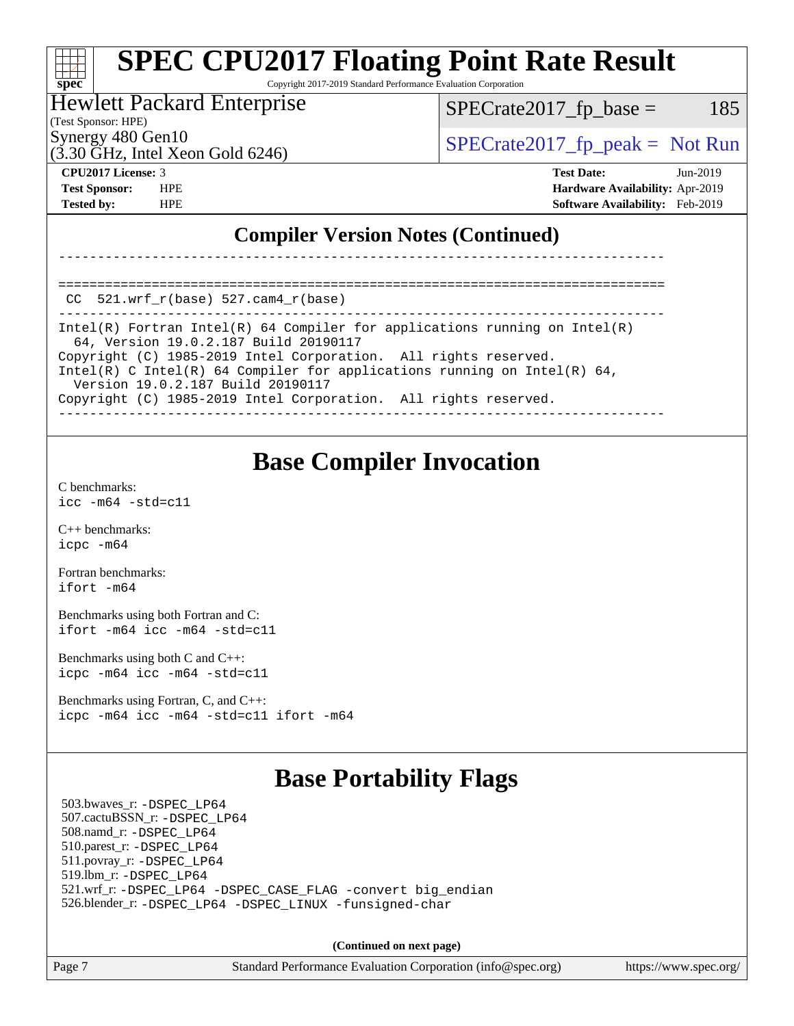#### **[SPEC CPU2017 Floating Point Rate Result](http://www.spec.org/auto/cpu2017/Docs/result-fields.html#SPECCPU2017FloatingPointRateResult)** a tim **[spec](http://www.spec.org/)** Copyright 2017-2019 Standard Performance Evaluation Corporation

#### Hewlett Packard Enterprise

 $SPECTate2017<sub>fr</sub> base = 185$ 

(Test Sponsor: HPE)

Synergy 480 Gen10  $S^{perg}$  [SPECrate2017\\_fp\\_peak =](http://www.spec.org/auto/cpu2017/Docs/result-fields.html#SPECrate2017fppeak) Not Run

 $(3.30 \text{ GHz}, \text{Intel Xeon}$  Gold 6246)

**[CPU2017 License:](http://www.spec.org/auto/cpu2017/Docs/result-fields.html#CPU2017License)** 3 **[Test Date:](http://www.spec.org/auto/cpu2017/Docs/result-fields.html#TestDate)** Jun-2019 **[Test Sponsor:](http://www.spec.org/auto/cpu2017/Docs/result-fields.html#TestSponsor)** HPE **[Hardware Availability:](http://www.spec.org/auto/cpu2017/Docs/result-fields.html#HardwareAvailability)** Apr-2019 **[Tested by:](http://www.spec.org/auto/cpu2017/Docs/result-fields.html#Testedby)** HPE **[Software Availability:](http://www.spec.org/auto/cpu2017/Docs/result-fields.html#SoftwareAvailability)** Feb-2019

### **[Compiler Version Notes \(Continued\)](http://www.spec.org/auto/cpu2017/Docs/result-fields.html#CompilerVersionNotes)**

==============================================================================  $CC$  521.wrf $r(base)$  527.cam $4$  $r(base)$ 

------------------------------------------------------------------------------ Intel(R) Fortran Intel(R) 64 Compiler for applications running on Intel(R) 64, Version 19.0.2.187 Build 20190117 Copyright (C) 1985-2019 Intel Corporation. All rights reserved. Intel(R) C Intel(R) 64 Compiler for applications running on Intel(R) 64, Version 19.0.2.187 Build 20190117 Copyright (C) 1985-2019 Intel Corporation. All rights reserved. ------------------------------------------------------------------------------

------------------------------------------------------------------------------

## **[Base Compiler Invocation](http://www.spec.org/auto/cpu2017/Docs/result-fields.html#BaseCompilerInvocation)**

[C benchmarks](http://www.spec.org/auto/cpu2017/Docs/result-fields.html#Cbenchmarks): [icc -m64 -std=c11](http://www.spec.org/cpu2017/results/res2019q3/cpu2017-20190624-15609.flags.html#user_CCbase_intel_icc_64bit_c11_33ee0cdaae7deeeab2a9725423ba97205ce30f63b9926c2519791662299b76a0318f32ddfffdc46587804de3178b4f9328c46fa7c2b0cd779d7a61945c91cd35)

[C++ benchmarks:](http://www.spec.org/auto/cpu2017/Docs/result-fields.html#CXXbenchmarks) [icpc -m64](http://www.spec.org/cpu2017/results/res2019q3/cpu2017-20190624-15609.flags.html#user_CXXbase_intel_icpc_64bit_4ecb2543ae3f1412ef961e0650ca070fec7b7afdcd6ed48761b84423119d1bf6bdf5cad15b44d48e7256388bc77273b966e5eb805aefd121eb22e9299b2ec9d9)

[Fortran benchmarks](http://www.spec.org/auto/cpu2017/Docs/result-fields.html#Fortranbenchmarks): [ifort -m64](http://www.spec.org/cpu2017/results/res2019q3/cpu2017-20190624-15609.flags.html#user_FCbase_intel_ifort_64bit_24f2bb282fbaeffd6157abe4f878425411749daecae9a33200eee2bee2fe76f3b89351d69a8130dd5949958ce389cf37ff59a95e7a40d588e8d3a57e0c3fd751)

[Benchmarks using both Fortran and C](http://www.spec.org/auto/cpu2017/Docs/result-fields.html#BenchmarksusingbothFortranandC): [ifort -m64](http://www.spec.org/cpu2017/results/res2019q3/cpu2017-20190624-15609.flags.html#user_CC_FCbase_intel_ifort_64bit_24f2bb282fbaeffd6157abe4f878425411749daecae9a33200eee2bee2fe76f3b89351d69a8130dd5949958ce389cf37ff59a95e7a40d588e8d3a57e0c3fd751) [icc -m64 -std=c11](http://www.spec.org/cpu2017/results/res2019q3/cpu2017-20190624-15609.flags.html#user_CC_FCbase_intel_icc_64bit_c11_33ee0cdaae7deeeab2a9725423ba97205ce30f63b9926c2519791662299b76a0318f32ddfffdc46587804de3178b4f9328c46fa7c2b0cd779d7a61945c91cd35)

[Benchmarks using both C and C++](http://www.spec.org/auto/cpu2017/Docs/result-fields.html#BenchmarksusingbothCandCXX): [icpc -m64](http://www.spec.org/cpu2017/results/res2019q3/cpu2017-20190624-15609.flags.html#user_CC_CXXbase_intel_icpc_64bit_4ecb2543ae3f1412ef961e0650ca070fec7b7afdcd6ed48761b84423119d1bf6bdf5cad15b44d48e7256388bc77273b966e5eb805aefd121eb22e9299b2ec9d9) [icc -m64 -std=c11](http://www.spec.org/cpu2017/results/res2019q3/cpu2017-20190624-15609.flags.html#user_CC_CXXbase_intel_icc_64bit_c11_33ee0cdaae7deeeab2a9725423ba97205ce30f63b9926c2519791662299b76a0318f32ddfffdc46587804de3178b4f9328c46fa7c2b0cd779d7a61945c91cd35)

[Benchmarks using Fortran, C, and C++:](http://www.spec.org/auto/cpu2017/Docs/result-fields.html#BenchmarksusingFortranCandCXX) [icpc -m64](http://www.spec.org/cpu2017/results/res2019q3/cpu2017-20190624-15609.flags.html#user_CC_CXX_FCbase_intel_icpc_64bit_4ecb2543ae3f1412ef961e0650ca070fec7b7afdcd6ed48761b84423119d1bf6bdf5cad15b44d48e7256388bc77273b966e5eb805aefd121eb22e9299b2ec9d9) [icc -m64 -std=c11](http://www.spec.org/cpu2017/results/res2019q3/cpu2017-20190624-15609.flags.html#user_CC_CXX_FCbase_intel_icc_64bit_c11_33ee0cdaae7deeeab2a9725423ba97205ce30f63b9926c2519791662299b76a0318f32ddfffdc46587804de3178b4f9328c46fa7c2b0cd779d7a61945c91cd35) [ifort -m64](http://www.spec.org/cpu2017/results/res2019q3/cpu2017-20190624-15609.flags.html#user_CC_CXX_FCbase_intel_ifort_64bit_24f2bb282fbaeffd6157abe4f878425411749daecae9a33200eee2bee2fe76f3b89351d69a8130dd5949958ce389cf37ff59a95e7a40d588e8d3a57e0c3fd751)

# **[Base Portability Flags](http://www.spec.org/auto/cpu2017/Docs/result-fields.html#BasePortabilityFlags)**

 503.bwaves\_r: [-DSPEC\\_LP64](http://www.spec.org/cpu2017/results/res2019q3/cpu2017-20190624-15609.flags.html#suite_basePORTABILITY503_bwaves_r_DSPEC_LP64) 507.cactuBSSN\_r: [-DSPEC\\_LP64](http://www.spec.org/cpu2017/results/res2019q3/cpu2017-20190624-15609.flags.html#suite_basePORTABILITY507_cactuBSSN_r_DSPEC_LP64) 508.namd\_r: [-DSPEC\\_LP64](http://www.spec.org/cpu2017/results/res2019q3/cpu2017-20190624-15609.flags.html#suite_basePORTABILITY508_namd_r_DSPEC_LP64) 510.parest\_r: [-DSPEC\\_LP64](http://www.spec.org/cpu2017/results/res2019q3/cpu2017-20190624-15609.flags.html#suite_basePORTABILITY510_parest_r_DSPEC_LP64) 511.povray\_r: [-DSPEC\\_LP64](http://www.spec.org/cpu2017/results/res2019q3/cpu2017-20190624-15609.flags.html#suite_basePORTABILITY511_povray_r_DSPEC_LP64) 519.lbm\_r: [-DSPEC\\_LP64](http://www.spec.org/cpu2017/results/res2019q3/cpu2017-20190624-15609.flags.html#suite_basePORTABILITY519_lbm_r_DSPEC_LP64) 521.wrf\_r: [-DSPEC\\_LP64](http://www.spec.org/cpu2017/results/res2019q3/cpu2017-20190624-15609.flags.html#suite_basePORTABILITY521_wrf_r_DSPEC_LP64) [-DSPEC\\_CASE\\_FLAG](http://www.spec.org/cpu2017/results/res2019q3/cpu2017-20190624-15609.flags.html#b521.wrf_r_baseCPORTABILITY_DSPEC_CASE_FLAG) [-convert big\\_endian](http://www.spec.org/cpu2017/results/res2019q3/cpu2017-20190624-15609.flags.html#user_baseFPORTABILITY521_wrf_r_convert_big_endian_c3194028bc08c63ac5d04de18c48ce6d347e4e562e8892b8bdbdc0214820426deb8554edfa529a3fb25a586e65a3d812c835984020483e7e73212c4d31a38223) 526.blender\_r: [-DSPEC\\_LP64](http://www.spec.org/cpu2017/results/res2019q3/cpu2017-20190624-15609.flags.html#suite_basePORTABILITY526_blender_r_DSPEC_LP64) [-DSPEC\\_LINUX](http://www.spec.org/cpu2017/results/res2019q3/cpu2017-20190624-15609.flags.html#b526.blender_r_baseCPORTABILITY_DSPEC_LINUX) [-funsigned-char](http://www.spec.org/cpu2017/results/res2019q3/cpu2017-20190624-15609.flags.html#user_baseCPORTABILITY526_blender_r_force_uchar_40c60f00ab013830e2dd6774aeded3ff59883ba5a1fc5fc14077f794d777847726e2a5858cbc7672e36e1b067e7e5c1d9a74f7176df07886a243d7cc18edfe67)

**(Continued on next page)**

Page 7 Standard Performance Evaluation Corporation [\(info@spec.org\)](mailto:info@spec.org) <https://www.spec.org/>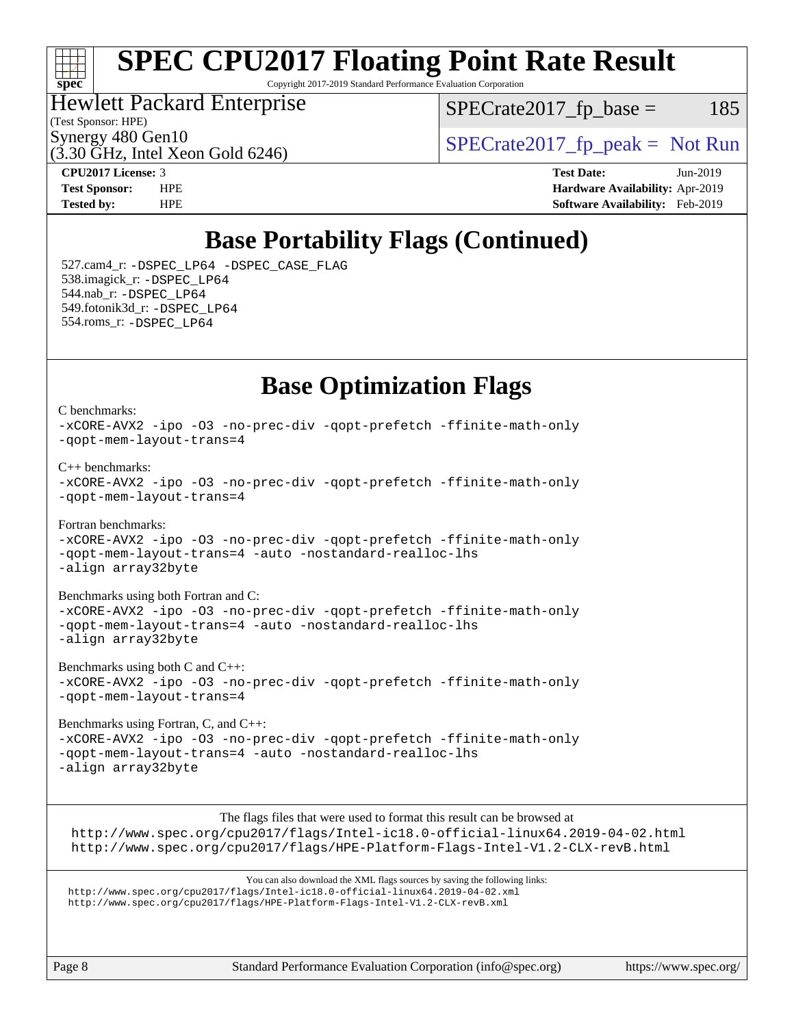#### $+\!+\!$ **[spec](http://www.spec.org/)**

# **[SPEC CPU2017 Floating Point Rate Result](http://www.spec.org/auto/cpu2017/Docs/result-fields.html#SPECCPU2017FloatingPointRateResult)**

Copyright 2017-2019 Standard Performance Evaluation Corporation

### Hewlett Packard Enterprise

 $SPECTate2017<sub>fr</sub> base = 185$ 

(Test Sponsor: HPE)

 $(3.30 \text{ GHz}, \text{Intel Xeon}$  Gold 6246)

Synergy 480 Gen10<br>  $SPECrate2017$  fp\_peak = Not Run

[C benchmarks](http://www.spec.org/auto/cpu2017/Docs/result-fields.html#Cbenchmarks):

**[CPU2017 License:](http://www.spec.org/auto/cpu2017/Docs/result-fields.html#CPU2017License)** 3 **[Test Date:](http://www.spec.org/auto/cpu2017/Docs/result-fields.html#TestDate)** Jun-2019 **[Test Sponsor:](http://www.spec.org/auto/cpu2017/Docs/result-fields.html#TestSponsor)** HPE **[Hardware Availability:](http://www.spec.org/auto/cpu2017/Docs/result-fields.html#HardwareAvailability)** Apr-2019 **[Tested by:](http://www.spec.org/auto/cpu2017/Docs/result-fields.html#Testedby)** HPE **[Software Availability:](http://www.spec.org/auto/cpu2017/Docs/result-fields.html#SoftwareAvailability)** Feb-2019

# **[Base Portability Flags \(Continued\)](http://www.spec.org/auto/cpu2017/Docs/result-fields.html#BasePortabilityFlags)**

 527.cam4\_r: [-DSPEC\\_LP64](http://www.spec.org/cpu2017/results/res2019q3/cpu2017-20190624-15609.flags.html#suite_basePORTABILITY527_cam4_r_DSPEC_LP64) [-DSPEC\\_CASE\\_FLAG](http://www.spec.org/cpu2017/results/res2019q3/cpu2017-20190624-15609.flags.html#b527.cam4_r_baseCPORTABILITY_DSPEC_CASE_FLAG) 538.imagick\_r: [-DSPEC\\_LP64](http://www.spec.org/cpu2017/results/res2019q3/cpu2017-20190624-15609.flags.html#suite_basePORTABILITY538_imagick_r_DSPEC_LP64) 544.nab\_r: [-DSPEC\\_LP64](http://www.spec.org/cpu2017/results/res2019q3/cpu2017-20190624-15609.flags.html#suite_basePORTABILITY544_nab_r_DSPEC_LP64) 549.fotonik3d\_r: [-DSPEC\\_LP64](http://www.spec.org/cpu2017/results/res2019q3/cpu2017-20190624-15609.flags.html#suite_basePORTABILITY549_fotonik3d_r_DSPEC_LP64) 554.roms\_r: [-DSPEC\\_LP64](http://www.spec.org/cpu2017/results/res2019q3/cpu2017-20190624-15609.flags.html#suite_basePORTABILITY554_roms_r_DSPEC_LP64)

# **[Base Optimization Flags](http://www.spec.org/auto/cpu2017/Docs/result-fields.html#BaseOptimizationFlags)**

[-xCORE-AVX2](http://www.spec.org/cpu2017/results/res2019q3/cpu2017-20190624-15609.flags.html#user_CCbase_f-xCORE-AVX2) [-ipo](http://www.spec.org/cpu2017/results/res2019q3/cpu2017-20190624-15609.flags.html#user_CCbase_f-ipo) [-O3](http://www.spec.org/cpu2017/results/res2019q3/cpu2017-20190624-15609.flags.html#user_CCbase_f-O3) [-no-prec-div](http://www.spec.org/cpu2017/results/res2019q3/cpu2017-20190624-15609.flags.html#user_CCbase_f-no-prec-div) [-qopt-prefetch](http://www.spec.org/cpu2017/results/res2019q3/cpu2017-20190624-15609.flags.html#user_CCbase_f-qopt-prefetch) [-ffinite-math-only](http://www.spec.org/cpu2017/results/res2019q3/cpu2017-20190624-15609.flags.html#user_CCbase_f_finite_math_only_cb91587bd2077682c4b38af759c288ed7c732db004271a9512da14a4f8007909a5f1427ecbf1a0fb78ff2a814402c6114ac565ca162485bbcae155b5e4258871) [-qopt-mem-layout-trans=4](http://www.spec.org/cpu2017/results/res2019q3/cpu2017-20190624-15609.flags.html#user_CCbase_f-qopt-mem-layout-trans_fa39e755916c150a61361b7846f310bcdf6f04e385ef281cadf3647acec3f0ae266d1a1d22d972a7087a248fd4e6ca390a3634700869573d231a252c784941a8) [C++ benchmarks:](http://www.spec.org/auto/cpu2017/Docs/result-fields.html#CXXbenchmarks) [-xCORE-AVX2](http://www.spec.org/cpu2017/results/res2019q3/cpu2017-20190624-15609.flags.html#user_CXXbase_f-xCORE-AVX2) [-ipo](http://www.spec.org/cpu2017/results/res2019q3/cpu2017-20190624-15609.flags.html#user_CXXbase_f-ipo) [-O3](http://www.spec.org/cpu2017/results/res2019q3/cpu2017-20190624-15609.flags.html#user_CXXbase_f-O3) [-no-prec-div](http://www.spec.org/cpu2017/results/res2019q3/cpu2017-20190624-15609.flags.html#user_CXXbase_f-no-prec-div) [-qopt-prefetch](http://www.spec.org/cpu2017/results/res2019q3/cpu2017-20190624-15609.flags.html#user_CXXbase_f-qopt-prefetch) [-ffinite-math-only](http://www.spec.org/cpu2017/results/res2019q3/cpu2017-20190624-15609.flags.html#user_CXXbase_f_finite_math_only_cb91587bd2077682c4b38af759c288ed7c732db004271a9512da14a4f8007909a5f1427ecbf1a0fb78ff2a814402c6114ac565ca162485bbcae155b5e4258871) [-qopt-mem-layout-trans=4](http://www.spec.org/cpu2017/results/res2019q3/cpu2017-20190624-15609.flags.html#user_CXXbase_f-qopt-mem-layout-trans_fa39e755916c150a61361b7846f310bcdf6f04e385ef281cadf3647acec3f0ae266d1a1d22d972a7087a248fd4e6ca390a3634700869573d231a252c784941a8)

[Fortran benchmarks](http://www.spec.org/auto/cpu2017/Docs/result-fields.html#Fortranbenchmarks): [-xCORE-AVX2](http://www.spec.org/cpu2017/results/res2019q3/cpu2017-20190624-15609.flags.html#user_FCbase_f-xCORE-AVX2) [-ipo](http://www.spec.org/cpu2017/results/res2019q3/cpu2017-20190624-15609.flags.html#user_FCbase_f-ipo) [-O3](http://www.spec.org/cpu2017/results/res2019q3/cpu2017-20190624-15609.flags.html#user_FCbase_f-O3) [-no-prec-div](http://www.spec.org/cpu2017/results/res2019q3/cpu2017-20190624-15609.flags.html#user_FCbase_f-no-prec-div) [-qopt-prefetch](http://www.spec.org/cpu2017/results/res2019q3/cpu2017-20190624-15609.flags.html#user_FCbase_f-qopt-prefetch) [-ffinite-math-only](http://www.spec.org/cpu2017/results/res2019q3/cpu2017-20190624-15609.flags.html#user_FCbase_f_finite_math_only_cb91587bd2077682c4b38af759c288ed7c732db004271a9512da14a4f8007909a5f1427ecbf1a0fb78ff2a814402c6114ac565ca162485bbcae155b5e4258871) [-qopt-mem-layout-trans=4](http://www.spec.org/cpu2017/results/res2019q3/cpu2017-20190624-15609.flags.html#user_FCbase_f-qopt-mem-layout-trans_fa39e755916c150a61361b7846f310bcdf6f04e385ef281cadf3647acec3f0ae266d1a1d22d972a7087a248fd4e6ca390a3634700869573d231a252c784941a8) [-auto](http://www.spec.org/cpu2017/results/res2019q3/cpu2017-20190624-15609.flags.html#user_FCbase_f-auto) [-nostandard-realloc-lhs](http://www.spec.org/cpu2017/results/res2019q3/cpu2017-20190624-15609.flags.html#user_FCbase_f_2003_std_realloc_82b4557e90729c0f113870c07e44d33d6f5a304b4f63d4c15d2d0f1fab99f5daaed73bdb9275d9ae411527f28b936061aa8b9c8f2d63842963b95c9dd6426b8a) [-align array32byte](http://www.spec.org/cpu2017/results/res2019q3/cpu2017-20190624-15609.flags.html#user_FCbase_align_array32byte_b982fe038af199962ba9a80c053b8342c548c85b40b8e86eb3cc33dee0d7986a4af373ac2d51c3f7cf710a18d62fdce2948f201cd044323541f22fc0fffc51b6)

[Benchmarks using both Fortran and C](http://www.spec.org/auto/cpu2017/Docs/result-fields.html#BenchmarksusingbothFortranandC): [-xCORE-AVX2](http://www.spec.org/cpu2017/results/res2019q3/cpu2017-20190624-15609.flags.html#user_CC_FCbase_f-xCORE-AVX2) [-ipo](http://www.spec.org/cpu2017/results/res2019q3/cpu2017-20190624-15609.flags.html#user_CC_FCbase_f-ipo) [-O3](http://www.spec.org/cpu2017/results/res2019q3/cpu2017-20190624-15609.flags.html#user_CC_FCbase_f-O3) [-no-prec-div](http://www.spec.org/cpu2017/results/res2019q3/cpu2017-20190624-15609.flags.html#user_CC_FCbase_f-no-prec-div) [-qopt-prefetch](http://www.spec.org/cpu2017/results/res2019q3/cpu2017-20190624-15609.flags.html#user_CC_FCbase_f-qopt-prefetch) [-ffinite-math-only](http://www.spec.org/cpu2017/results/res2019q3/cpu2017-20190624-15609.flags.html#user_CC_FCbase_f_finite_math_only_cb91587bd2077682c4b38af759c288ed7c732db004271a9512da14a4f8007909a5f1427ecbf1a0fb78ff2a814402c6114ac565ca162485bbcae155b5e4258871) [-qopt-mem-layout-trans=4](http://www.spec.org/cpu2017/results/res2019q3/cpu2017-20190624-15609.flags.html#user_CC_FCbase_f-qopt-mem-layout-trans_fa39e755916c150a61361b7846f310bcdf6f04e385ef281cadf3647acec3f0ae266d1a1d22d972a7087a248fd4e6ca390a3634700869573d231a252c784941a8) [-auto](http://www.spec.org/cpu2017/results/res2019q3/cpu2017-20190624-15609.flags.html#user_CC_FCbase_f-auto) [-nostandard-realloc-lhs](http://www.spec.org/cpu2017/results/res2019q3/cpu2017-20190624-15609.flags.html#user_CC_FCbase_f_2003_std_realloc_82b4557e90729c0f113870c07e44d33d6f5a304b4f63d4c15d2d0f1fab99f5daaed73bdb9275d9ae411527f28b936061aa8b9c8f2d63842963b95c9dd6426b8a) [-align array32byte](http://www.spec.org/cpu2017/results/res2019q3/cpu2017-20190624-15609.flags.html#user_CC_FCbase_align_array32byte_b982fe038af199962ba9a80c053b8342c548c85b40b8e86eb3cc33dee0d7986a4af373ac2d51c3f7cf710a18d62fdce2948f201cd044323541f22fc0fffc51b6)

[Benchmarks using both C and C++](http://www.spec.org/auto/cpu2017/Docs/result-fields.html#BenchmarksusingbothCandCXX): [-xCORE-AVX2](http://www.spec.org/cpu2017/results/res2019q3/cpu2017-20190624-15609.flags.html#user_CC_CXXbase_f-xCORE-AVX2) [-ipo](http://www.spec.org/cpu2017/results/res2019q3/cpu2017-20190624-15609.flags.html#user_CC_CXXbase_f-ipo) [-O3](http://www.spec.org/cpu2017/results/res2019q3/cpu2017-20190624-15609.flags.html#user_CC_CXXbase_f-O3) [-no-prec-div](http://www.spec.org/cpu2017/results/res2019q3/cpu2017-20190624-15609.flags.html#user_CC_CXXbase_f-no-prec-div) [-qopt-prefetch](http://www.spec.org/cpu2017/results/res2019q3/cpu2017-20190624-15609.flags.html#user_CC_CXXbase_f-qopt-prefetch) [-ffinite-math-only](http://www.spec.org/cpu2017/results/res2019q3/cpu2017-20190624-15609.flags.html#user_CC_CXXbase_f_finite_math_only_cb91587bd2077682c4b38af759c288ed7c732db004271a9512da14a4f8007909a5f1427ecbf1a0fb78ff2a814402c6114ac565ca162485bbcae155b5e4258871) [-qopt-mem-layout-trans=4](http://www.spec.org/cpu2017/results/res2019q3/cpu2017-20190624-15609.flags.html#user_CC_CXXbase_f-qopt-mem-layout-trans_fa39e755916c150a61361b7846f310bcdf6f04e385ef281cadf3647acec3f0ae266d1a1d22d972a7087a248fd4e6ca390a3634700869573d231a252c784941a8)

[Benchmarks using Fortran, C, and C++:](http://www.spec.org/auto/cpu2017/Docs/result-fields.html#BenchmarksusingFortranCandCXX) [-xCORE-AVX2](http://www.spec.org/cpu2017/results/res2019q3/cpu2017-20190624-15609.flags.html#user_CC_CXX_FCbase_f-xCORE-AVX2) [-ipo](http://www.spec.org/cpu2017/results/res2019q3/cpu2017-20190624-15609.flags.html#user_CC_CXX_FCbase_f-ipo) [-O3](http://www.spec.org/cpu2017/results/res2019q3/cpu2017-20190624-15609.flags.html#user_CC_CXX_FCbase_f-O3) [-no-prec-div](http://www.spec.org/cpu2017/results/res2019q3/cpu2017-20190624-15609.flags.html#user_CC_CXX_FCbase_f-no-prec-div) [-qopt-prefetch](http://www.spec.org/cpu2017/results/res2019q3/cpu2017-20190624-15609.flags.html#user_CC_CXX_FCbase_f-qopt-prefetch) [-ffinite-math-only](http://www.spec.org/cpu2017/results/res2019q3/cpu2017-20190624-15609.flags.html#user_CC_CXX_FCbase_f_finite_math_only_cb91587bd2077682c4b38af759c288ed7c732db004271a9512da14a4f8007909a5f1427ecbf1a0fb78ff2a814402c6114ac565ca162485bbcae155b5e4258871) [-qopt-mem-layout-trans=4](http://www.spec.org/cpu2017/results/res2019q3/cpu2017-20190624-15609.flags.html#user_CC_CXX_FCbase_f-qopt-mem-layout-trans_fa39e755916c150a61361b7846f310bcdf6f04e385ef281cadf3647acec3f0ae266d1a1d22d972a7087a248fd4e6ca390a3634700869573d231a252c784941a8) [-auto](http://www.spec.org/cpu2017/results/res2019q3/cpu2017-20190624-15609.flags.html#user_CC_CXX_FCbase_f-auto) [-nostandard-realloc-lhs](http://www.spec.org/cpu2017/results/res2019q3/cpu2017-20190624-15609.flags.html#user_CC_CXX_FCbase_f_2003_std_realloc_82b4557e90729c0f113870c07e44d33d6f5a304b4f63d4c15d2d0f1fab99f5daaed73bdb9275d9ae411527f28b936061aa8b9c8f2d63842963b95c9dd6426b8a) [-align array32byte](http://www.spec.org/cpu2017/results/res2019q3/cpu2017-20190624-15609.flags.html#user_CC_CXX_FCbase_align_array32byte_b982fe038af199962ba9a80c053b8342c548c85b40b8e86eb3cc33dee0d7986a4af373ac2d51c3f7cf710a18d62fdce2948f201cd044323541f22fc0fffc51b6)

The flags files that were used to format this result can be browsed at <http://www.spec.org/cpu2017/flags/Intel-ic18.0-official-linux64.2019-04-02.html> <http://www.spec.org/cpu2017/flags/HPE-Platform-Flags-Intel-V1.2-CLX-revB.html>

You can also download the XML flags sources by saving the following links: <http://www.spec.org/cpu2017/flags/Intel-ic18.0-official-linux64.2019-04-02.xml> <http://www.spec.org/cpu2017/flags/HPE-Platform-Flags-Intel-V1.2-CLX-revB.xml>